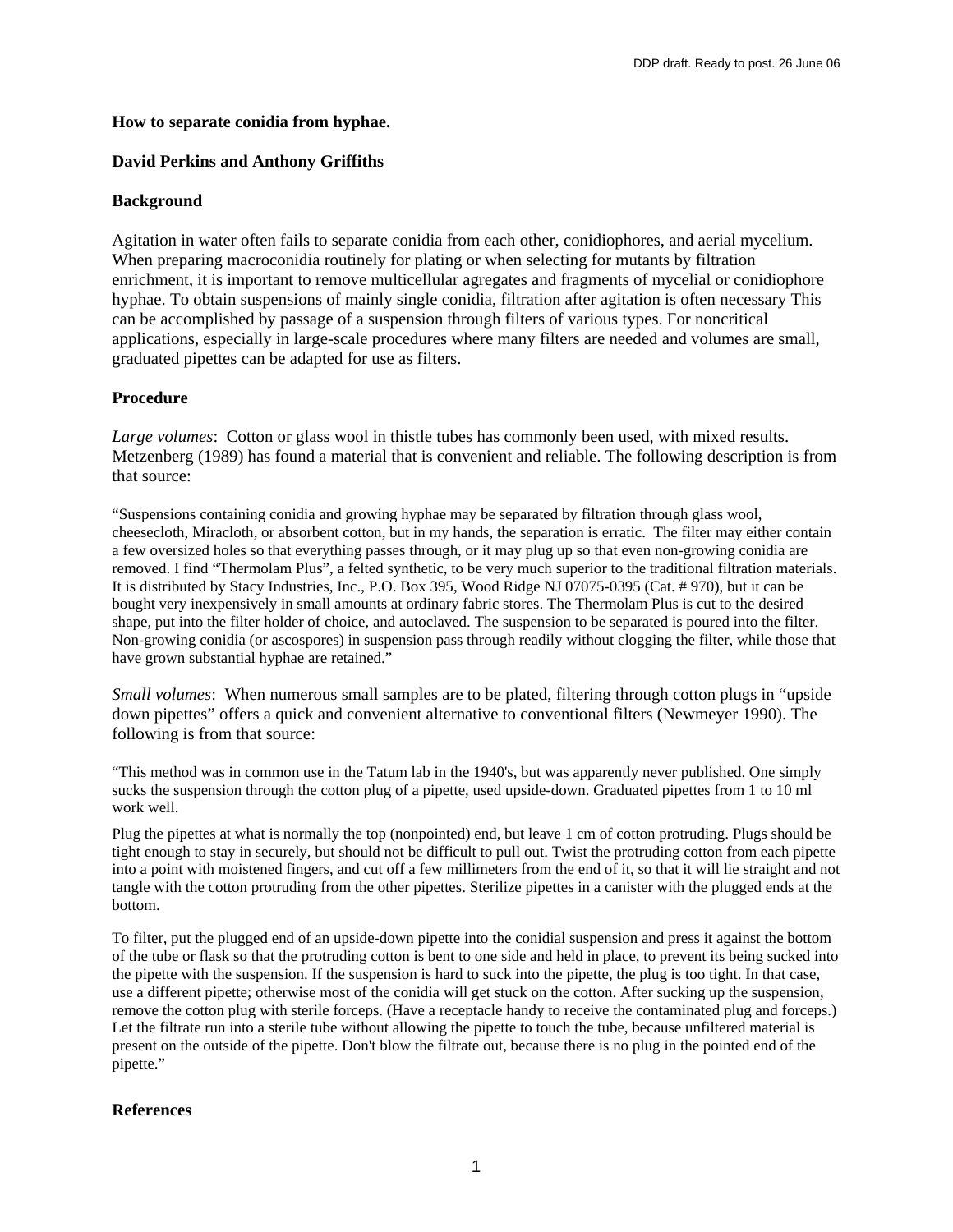## **How to separate conidia from hyphae.**

# **David Perkins and Anthony Griffiths**

# **Background**

Agitation in water often fails to separate conidia from each other, conidiophores, and aerial mycelium. When preparing macroconidia routinely for plating or when selecting for mutants by filtration enrichment, it is important to remove multicellular agregates and fragments of mycelial or conidiophore hyphae. To obtain suspensions of mainly single conidia, filtration after agitation is often necessary This can be accomplished by passage of a suspension through filters of various types. For noncritical applications, especially in large-scale procedures where many filters are needed and volumes are small, graduated pipettes can be adapted for use as filters.

# **Procedure**

*Large volumes*: Cotton or glass wool in thistle tubes has commonly been used, with mixed results. Metzenberg (1989) has found a material that is convenient and reliable. The following description is from that source:

"Suspensions containing conidia and growing hyphae may be separated by filtration through glass wool, cheesecloth, Miracloth, or absorbent cotton, but in my hands, the separation is erratic. The filter may either contain a few oversized holes so that everything passes through, or it may plug up so that even non-growing conidia are removed. I find "Thermolam Plus", a felted synthetic, to be very much superior to the traditional filtration materials. It is distributed by Stacy Industries, Inc., P.O. Box 395, Wood Ridge NJ 07075-0395 (Cat. # 970), but it can be bought very inexpensively in small amounts at ordinary fabric stores. The Thermolam Plus is cut to the desired shape, put into the filter holder of choice, and autoclaved. The suspension to be separated is poured into the filter. Non-growing conidia (or ascospores) in suspension pass through readily without clogging the filter, while those that have grown substantial hyphae are retained."

*Small volumes*: When numerous small samples are to be plated, filtering through cotton plugs in "upside down pipettes" offers a quick and convenient alternative to conventional filters (Newmeyer 1990). The following is from that source:

"This method was in common use in the Tatum lab in the 1940's, but was apparently never published. One simply sucks the suspension through the cotton plug of a pipette, used upside-down. Graduated pipettes from 1 to 10 ml work well.

Plug the pipettes at what is normally the top (nonpointed) end, but leave 1 cm of cotton protruding. Plugs should be tight enough to stay in securely, but should not be difficult to pull out. Twist the protruding cotton from each pipette into a point with moistened fingers, and cut off a few millimeters from the end of it, so that it will lie straight and not tangle with the cotton protruding from the other pipettes. Sterilize pipettes in a canister with the plugged ends at the bottom.

To filter, put the plugged end of an upside-down pipette into the conidial suspension and press it against the bottom of the tube or flask so that the protruding cotton is bent to one side and held in place, to prevent its being sucked into the pipette with the suspension. If the suspension is hard to suck into the pipette, the plug is too tight. In that case, use a different pipette; otherwise most of the conidia will get stuck on the cotton. After sucking up the suspension, remove the cotton plug with sterile forceps. (Have a receptacle handy to receive the contaminated plug and forceps.) Let the filtrate run into a sterile tube without allowing the pipette to touch the tube, because unfiltered material is present on the outside of the pipette. Don't blow the filtrate out, because there is no plug in the pointed end of the pipette."

# **References**